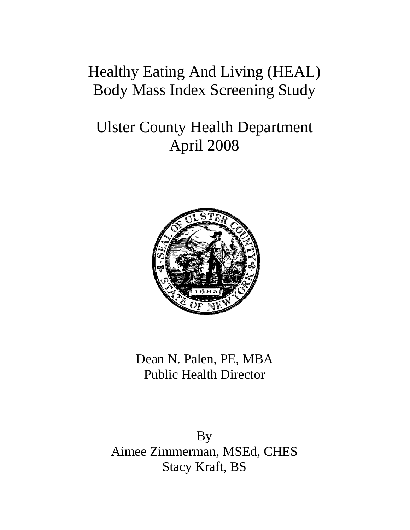## Healthy Eating And Living (HEAL) Body Mass Index Screening Study

# Ulster County Health Department April 2008



Dean N. Palen, PE, MBA Public Health Director

By Aimee Zimmerman, MSEd, CHES Stacy Kraft, BS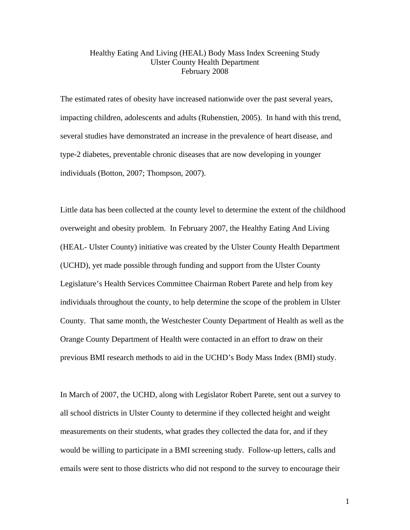#### Healthy Eating And Living (HEAL) Body Mass Index Screening Study Ulster County Health Department February 2008

The estimated rates of obesity have increased nationwide over the past several years, impacting children, adolescents and adults (Rubenstien, 2005). In hand with this trend, several studies have demonstrated an increase in the prevalence of heart disease, and type-2 diabetes, preventable chronic diseases that are now developing in younger individuals (Botton, 2007; Thompson, 2007).

Little data has been collected at the county level to determine the extent of the childhood overweight and obesity problem. In February 2007, the Healthy Eating And Living (HEAL- Ulster County) initiative was created by the Ulster County Health Department (UCHD), yet made possible through funding and support from the Ulster County Legislature's Health Services Committee Chairman Robert Parete and help from key individuals throughout the county, to help determine the scope of the problem in Ulster County. That same month, the Westchester County Department of Health as well as the Orange County Department of Health were contacted in an effort to draw on their previous BMI research methods to aid in the UCHD's Body Mass Index (BMI) study.

In March of 2007, the UCHD, along with Legislator Robert Parete, sent out a survey to all school districts in Ulster County to determine if they collected height and weight measurements on their students, what grades they collected the data for, and if they would be willing to participate in a BMI screening study. Follow-up letters, calls and emails were sent to those districts who did not respond to the survey to encourage their

1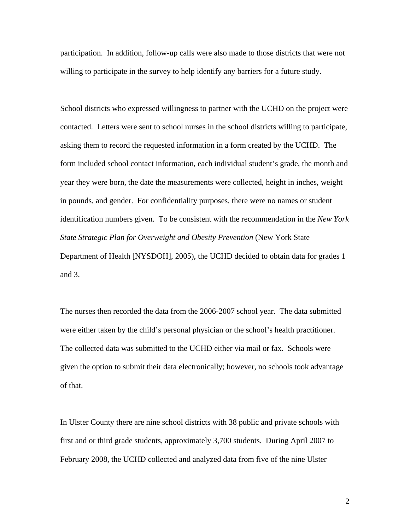participation. In addition, follow-up calls were also made to those districts that were not willing to participate in the survey to help identify any barriers for a future study.

School districts who expressed willingness to partner with the UCHD on the project were contacted. Letters were sent to school nurses in the school districts willing to participate, asking them to record the requested information in a form created by the UCHD. The form included school contact information, each individual student's grade, the month and year they were born, the date the measurements were collected, height in inches, weight in pounds, and gender. For confidentiality purposes, there were no names or student identification numbers given. To be consistent with the recommendation in the *New York State Strategic Plan for Overweight and Obesity Prevention* (New York State Department of Health [NYSDOH], 2005), the UCHD decided to obtain data for grades 1 and 3.

The nurses then recorded the data from the 2006-2007 school year. The data submitted were either taken by the child's personal physician or the school's health practitioner. The collected data was submitted to the UCHD either via mail or fax. Schools were given the option to submit their data electronically; however, no schools took advantage of that.

In Ulster County there are nine school districts with 38 public and private schools with first and or third grade students, approximately 3,700 students. During April 2007 to February 2008, the UCHD collected and analyzed data from five of the nine Ulster

2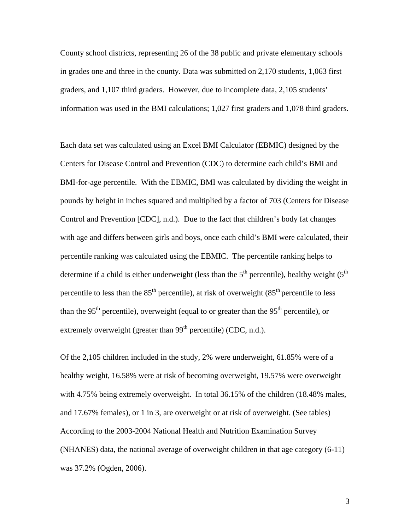County school districts, representing 26 of the 38 public and private elementary schools in grades one and three in the county. Data was submitted on 2,170 students, 1,063 first graders, and 1,107 third graders. However, due to incomplete data, 2,105 students' information was used in the BMI calculations; 1,027 first graders and 1,078 third graders.

Each data set was calculated using an Excel BMI Calculator (EBMIC) designed by the Centers for Disease Control and Prevention (CDC) to determine each child's BMI and BMI-for-age percentile. With the EBMIC, BMI was calculated by dividing the weight in pounds by height in inches squared and multiplied by a factor of 703 (Centers for Disease Control and Prevention [CDC], n.d.). Due to the fact that children's body fat changes with age and differs between girls and boys, once each child's BMI were calculated, their percentile ranking was calculated using the EBMIC. The percentile ranking helps to determine if a child is either underweight (less than the  $5<sup>th</sup>$  percentile), healthy weight ( $5<sup>th</sup>$ percentile to less than the  $85<sup>th</sup>$  percentile), at risk of overweight  $(85<sup>th</sup>$  percentile to less than the 95<sup>th</sup> percentile), overweight (equal to or greater than the 95<sup>th</sup> percentile), or extremely overweight (greater than 99<sup>th</sup> percentile) (CDC, n.d.).

Of the 2,105 children included in the study, 2% were underweight, 61.85% were of a healthy weight, 16.58% were at risk of becoming overweight, 19.57% were overweight with 4.75% being extremely overweight. In total 36.15% of the children (18.48% males, and 17.67% females), or 1 in 3, are overweight or at risk of overweight. (See tables) According to the 2003-2004 National Health and Nutrition Examination Survey (NHANES) data, the national average of overweight children in that age category (6-11) was 37.2% (Ogden, 2006).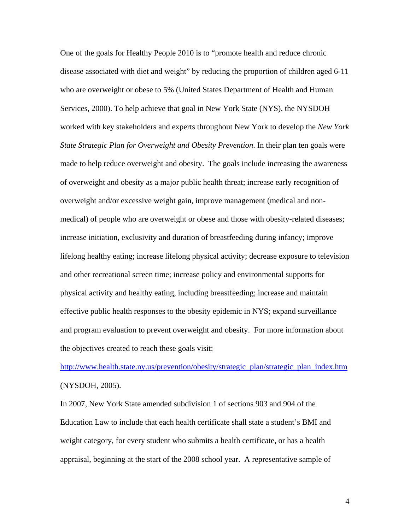One of the goals for Healthy People 2010 is to "promote health and reduce chronic disease associated with diet and weight" by reducing the proportion of children aged 6-11 who are overweight or obese to 5% (United States Department of Health and Human Services, 2000). To help achieve that goal in New York State (NYS), the NYSDOH worked with key stakeholders and experts throughout New York to develop the *New York State Strategic Plan for Overweight and Obesity Prevention*. In their plan ten goals were made to help reduce overweight and obesity. The goals include increasing the awareness of overweight and obesity as a major public health threat; increase early recognition of overweight and/or excessive weight gain, improve management (medical and nonmedical) of people who are overweight or obese and those with obesity-related diseases; increase initiation, exclusivity and duration of breastfeeding during infancy; improve lifelong healthy eating; increase lifelong physical activity; decrease exposure to television and other recreational screen time; increase policy and environmental supports for physical activity and healthy eating, including breastfeeding; increase and maintain effective public health responses to the obesity epidemic in NYS; expand surveillance and program evaluation to prevent overweight and obesity. For more information about the objectives created to reach these goals visit:

http://www.health.state.ny.us/prevention/obesity/strategic\_plan/strategic\_plan\_index.htm (NYSDOH, 2005).

In 2007, New York State amended subdivision 1 of sections 903 and 904 of the Education Law to include that each health certificate shall state a student's BMI and weight category, for every student who submits a health certificate, or has a health appraisal, beginning at the start of the 2008 school year. A representative sample of

4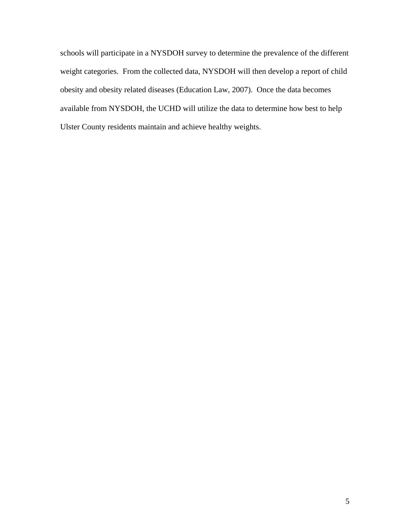schools will participate in a NYSDOH survey to determine the prevalence of the different weight categories. From the collected data, NYSDOH will then develop a report of child obesity and obesity related diseases (Education Law, 2007). Once the data becomes available from NYSDOH, the UCHD will utilize the data to determine how best to help Ulster County residents maintain and achieve healthy weights.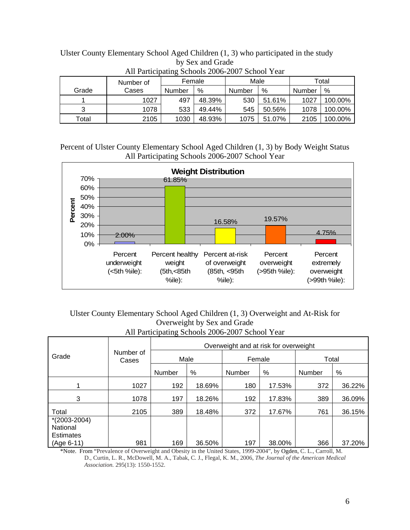| All Participating Schools 2000-2007 School Tear |           |        |        |        |        |        |         |  |  |  |  |  |
|-------------------------------------------------|-----------|--------|--------|--------|--------|--------|---------|--|--|--|--|--|
|                                                 | Number of | Female |        | Male   |        | Total  |         |  |  |  |  |  |
| Grade                                           | Cases     | Number | %      | Number | %      | Number | %       |  |  |  |  |  |
|                                                 | 1027      | 497    | 48.39% | 530    | 51.61% | 1027   | 100.00% |  |  |  |  |  |
| 3                                               | 1078      | 533    | 49.44% | 545    | 50.56% | 1078   | 100.00% |  |  |  |  |  |
| Total                                           | 2105      | 1030   | 48.93% | 1075   | 51.07% | 2105   | 100.00% |  |  |  |  |  |

Ulster County Elementary School Aged Children (1, 3) who participated in the study by Sex and Grade All Participating Schools 2006-2007 School Year

Percent of Ulster County Elementary School Aged Children (1, 3) by Body Weight Status All Participating Schools 2006-2007 School Year



### Ulster County Elementary School Aged Children (1, 3) Overweight and At-Risk for Overweight by Sex and Grade All Participating Schools 2006-2007 School Year

|                                                  | Number of<br>Cases | Overweight and at risk for overweight |        |        |        |        |        |  |
|--------------------------------------------------|--------------------|---------------------------------------|--------|--------|--------|--------|--------|--|
| Grade                                            |                    | Male                                  |        | Female |        | Total  |        |  |
|                                                  |                    | Number                                | %      | Number | %      | Number | %      |  |
|                                                  | 1027               | 192                                   | 18.69% | 180    | 17.53% | 372    | 36.22% |  |
| 3                                                | 1078               | 197                                   | 18.26% | 192    | 17.83% | 389    | 36.09% |  |
| Total                                            | 2105               | 389                                   | 18.48% | 372    | 17.67% | 761    | 36.15% |  |
| $*(2003 - 2004)$<br>National<br><b>Estimates</b> |                    |                                       |        |        |        |        |        |  |
| (Age 6-11)                                       | 981                | 169                                   | 36.50% | 197    | 38.00% | 366    | 37.20% |  |

\*Note. From "Prevalence of Overweight and Obesity in the United States, 1999-2004", by Ogden, C. L., Carroll, M. D., Curtin, L. R., McDowell, M. A., Tabak, C. J., Flegal, K. M., 2006, *The Journal of the American Medical Association.* 295(13): 1550-1552.